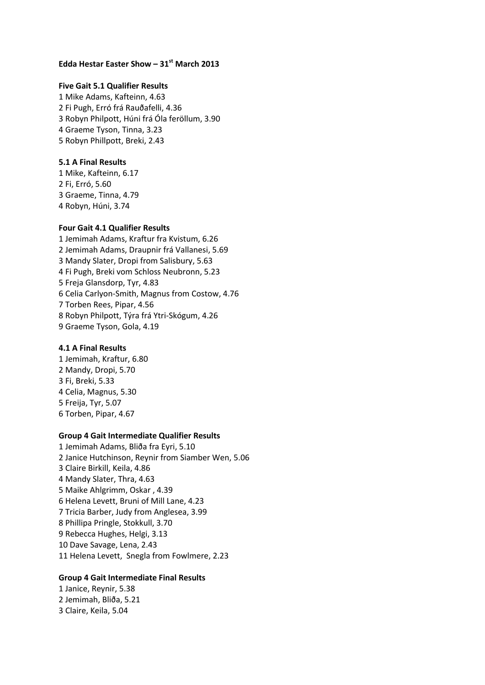# **Edda Hestar Easter Show – 31st March 2013**

# **Five Gait 5.1 Qualifier Results**

1 Mike Adams, Kafteinn, 4.63 2 Fi Pugh, Erró frá Rauðafelli, 4.36 3 Robyn Philpott, Húni frá Óla feröllum, 3.90 4 Graeme Tyson, Tinna, 3.23 5 Robyn Phillpott, Breki, 2.43

# **5.1 A Final Results**

1 Mike, Kafteinn, 6.17 2 Fi, Erró, 5.60 3 Graeme, Tinna, 4.79 4 Robyn, Húni, 3.74

## **Four Gait 4.1 Qualifier Results**

1 Jemimah Adams, Kraftur fra Kvistum, 6.26 2 Jemimah Adams, Draupnir frá Vallanesi, 5.69 3 Mandy Slater, Dropi from Salisbury, 5.63 4 Fi Pugh, Breki vom Schloss Neubronn, 5.23 5 Freja Glansdorp, Tyr, 4.83 6 Celia Carlyon-Smith, Magnus from Costow, 4.76 7 Torben Rees, Pipar, 4.56 8 Robyn Philpott, Týra frá Ytri-Skógum, 4.26 9 Graeme Tyson, Gola, 4.19

## **4.1 A Final Results**

1 Jemimah, Kraftur, 6.80 2 Mandy, Dropi, 5.70 3 Fi, Breki, 5.33 4 Celia, Magnus, 5.30 5 Freija, Tyr, 5.07 6 Torben, Pipar, 4.67

#### **Group 4 Gait Intermediate Qualifier Results**

1 Jemimah Adams, Bliða fra Eyri, 5.10 2 Janice Hutchinson, Reynir from Siamber Wen, 5.06 3 Claire Birkill, Keila, 4.86 4 Mandy Slater, Thra, 4.63 5 Maike Ahlgrimm, Oskar , 4.39 6 Helena Levett, Bruni of Mill Lane, 4.23 7 Tricia Barber, Judy from Anglesea, 3.99 8 Phillipa Pringle, Stokkull, 3.70 9 Rebecca Hughes, Helgi, 3.13 10 Dave Savage, Lena, 2.43 11 Helena Levett, Snegla from Fowlmere, 2.23

# **Group 4 Gait Intermediate Final Results**

1 Janice, Reynir, 5.38 2 Jemimah, Bliða, 5.21 3 Claire, Keila, 5.04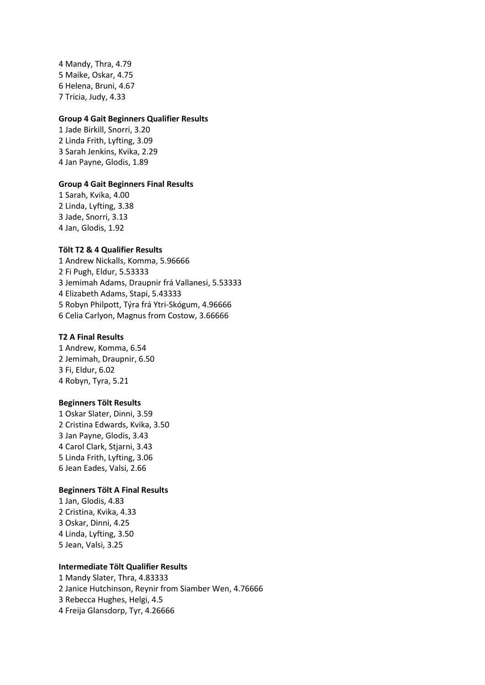4 Mandy, Thra, 4.79 5 Maike, Oskar, 4.75 6 Helena, Bruni, 4.67 7 Tricia, Judy, 4.33

#### **Group 4 Gait Beginners Qualifier Results**

1 Jade Birkill, Snorri, 3.20 2 Linda Frith, Lyfting, 3.09 3 Sarah Jenkins, Kvika, 2.29 4 Jan Payne, Glodis, 1.89

## **Group 4 Gait Beginners Final Results**

1 Sarah, Kvika, 4.00 2 Linda, Lyfting, 3.38 3 Jade, Snorri, 3.13 4 Jan, Glodis, 1.92

## **Tölt T2 & 4 Qualifier Results**

1 Andrew Nickalls, Komma, 5.96666 2 Fi Pugh, Eldur, 5.53333 3 Jemimah Adams, Draupnir frá Vallanesi, 5.53333 4 Elizabeth Adams, Stapi, 5.43333 5 Robyn Philpott, Týra frá Ytri-Skógum, 4.96666 6 Celia Carlyon, Magnus from Costow, 3.66666

# **T2 A Final Results**

1 Andrew, Komma, 6.54 2 Jemimah, Draupnir, 6.50 3 Fi, Eldur, 6.02 4 Robyn, Tyra, 5.21

#### **Beginners Tölt Results**

1 Oskar Slater, Dinni, 3.59 2 Cristina Edwards, Kvika, 3.50 3 Jan Payne, Glodis, 3.43 4 Carol Clark, Stjarni, 3.43 5 Linda Frith, Lyfting, 3.06 6 Jean Eades, Valsi, 2.66

#### **Beginners Tölt A Final Results**

1 Jan, Glodis, 4.83 2 Cristina, Kvika, 4.33 3 Oskar, Dinni, 4.25 4 Linda, Lyfting, 3.50 5 Jean, Valsi, 3.25

# **Intermediate Tölt Qualifier Results**

1 Mandy Slater, Thra, 4.83333 2 Janice Hutchinson, Reynir from Siamber Wen, 4.76666 3 Rebecca Hughes, Helgi, 4.5 4 Freija Glansdorp, Tyr, 4.26666